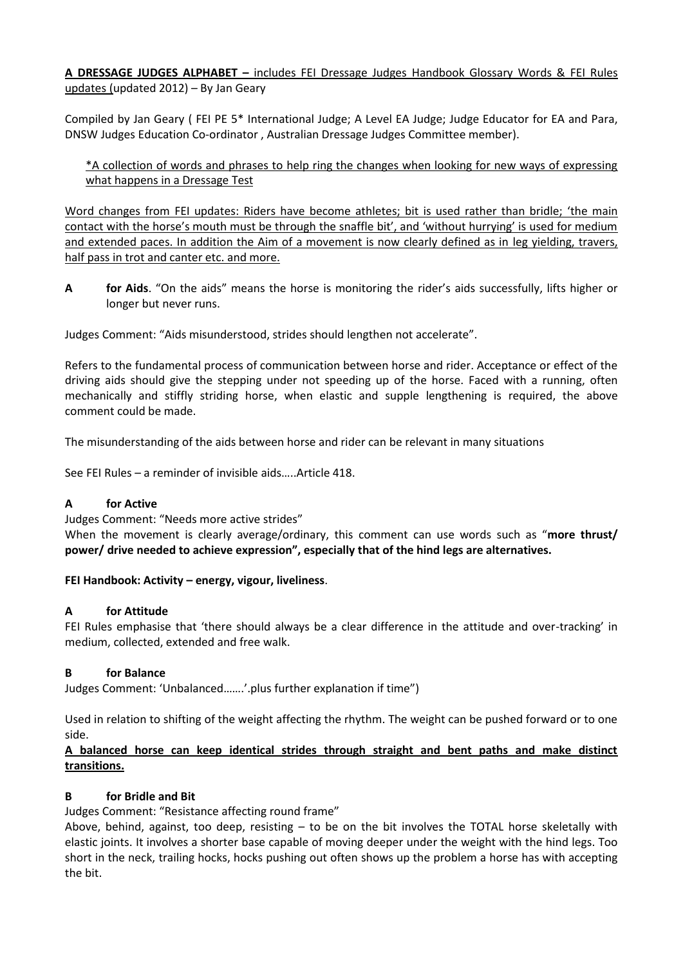**A DRESSAGE JUDGES ALPHABET –** includes FEI Dressage Judges Handbook Glossary Words & FEI Rules updates (updated 2012) – By Jan Geary

Compiled by Jan Geary ( FEI PE 5\* International Judge; A Level EA Judge; Judge Educator for EA and Para, DNSW Judges Education Co-ordinator , Australian Dressage Judges Committee member).

\*A collection of words and phrases to help ring the changes when looking for new ways of expressing what happens in a Dressage Test

Word changes from FEI updates: Riders have become athletes; bit is used rather than bridle; 'the main contact with the horse's mouth must be through the snaffle bit', and 'without hurrying' is used for medium and extended paces. In addition the Aim of a movement is now clearly defined as in leg yielding, travers, half pass in trot and canter etc. and more.

**A for Aids**. "On the aids" means the horse is monitoring the rider's aids successfully, lifts higher or longer but never runs.

Judges Comment: "Aids misunderstood, strides should lengthen not accelerate".

Refers to the fundamental process of communication between horse and rider. Acceptance or effect of the driving aids should give the stepping under not speeding up of the horse. Faced with a running, often mechanically and stiffly striding horse, when elastic and supple lengthening is required, the above comment could be made.

The misunderstanding of the aids between horse and rider can be relevant in many situations

See FEI Rules – a reminder of invisible aids…..Article 418.

#### **A for Active**

Judges Comment: "Needs more active strides"

When the movement is clearly average/ordinary, this comment can use words such as "**more thrust/ power/ drive needed to achieve expression", especially that of the hind legs are alternatives.**

#### **FEI Handbook: Activity – energy, vigour, liveliness**.

#### **A for Attitude**

FEI Rules emphasise that 'there should always be a clear difference in the attitude and over-tracking' in medium, collected, extended and free walk.

#### **B for Balance**

Judges Comment: 'Unbalanced…….'.plus further explanation if time")

Used in relation to shifting of the weight affecting the rhythm. The weight can be pushed forward or to one side.

### **A balanced horse can keep identical strides through straight and bent paths and make distinct transitions.**

### **B for Bridle and Bit**

Judges Comment: "Resistance affecting round frame"

Above, behind, against, too deep, resisting  $-$  to be on the bit involves the TOTAL horse skeletally with elastic joints. It involves a shorter base capable of moving deeper under the weight with the hind legs. Too short in the neck, trailing hocks, hocks pushing out often shows up the problem a horse has with accepting the bit.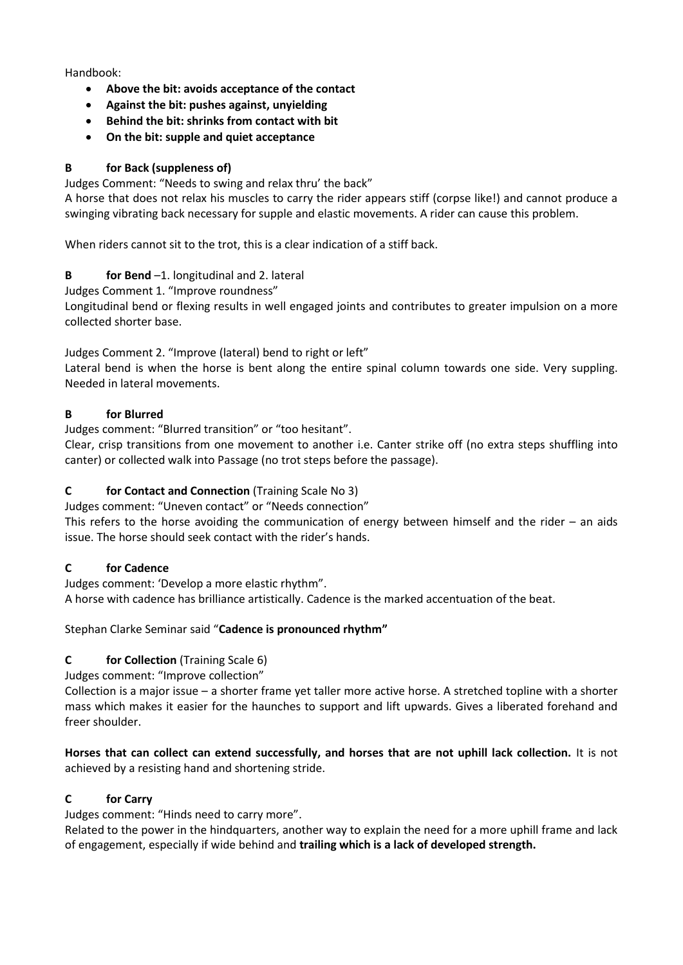Handbook:

- **Above the bit: avoids acceptance of the contact**
- **Against the bit: pushes against, unyielding**
- **Behind the bit: shrinks from contact with bit**
- **On the bit: supple and quiet acceptance**

# **B for Back (suppleness of)**

Judges Comment: "Needs to swing and relax thru' the back"

A horse that does not relax his muscles to carry the rider appears stiff (corpse like!) and cannot produce a swinging vibrating back necessary for supple and elastic movements. A rider can cause this problem.

When riders cannot sit to the trot, this is a clear indication of a stiff back.

# **B for Bend** –1. longitudinal and 2. lateral

Judges Comment 1. "Improve roundness"

Longitudinal bend or flexing results in well engaged joints and contributes to greater impulsion on a more collected shorter base.

Judges Comment 2. "Improve (lateral) bend to right or left"

Lateral bend is when the horse is bent along the entire spinal column towards one side. Very suppling. Needed in lateral movements.

# **B for Blurred**

Judges comment: "Blurred transition" or "too hesitant".

Clear, crisp transitions from one movement to another i.e. Canter strike off (no extra steps shuffling into canter) or collected walk into Passage (no trot steps before the passage).

# **C for Contact and Connection** (Training Scale No 3)

Judges comment: "Uneven contact" or "Needs connection"

This refers to the horse avoiding the communication of energy between himself and the rider – an aids issue. The horse should seek contact with the rider's hands.

### **C for Cadence**

Judges comment: 'Develop a more elastic rhythm". A horse with cadence has brilliance artistically. Cadence is the marked accentuation of the beat.

### Stephan Clarke Seminar said "**Cadence is pronounced rhythm"**

### **C for Collection** (Training Scale 6)

Judges comment: "Improve collection"

Collection is a major issue – a shorter frame yet taller more active horse. A stretched topline with a shorter mass which makes it easier for the haunches to support and lift upwards. Gives a liberated forehand and freer shoulder.

**Horses that can collect can extend successfully, and horses that are not uphill lack collection.** It is not achieved by a resisting hand and shortening stride.

### **C for Carry**

Judges comment: "Hinds need to carry more".

Related to the power in the hindquarters, another way to explain the need for a more uphill frame and lack of engagement, especially if wide behind and **trailing which is a lack of developed strength.**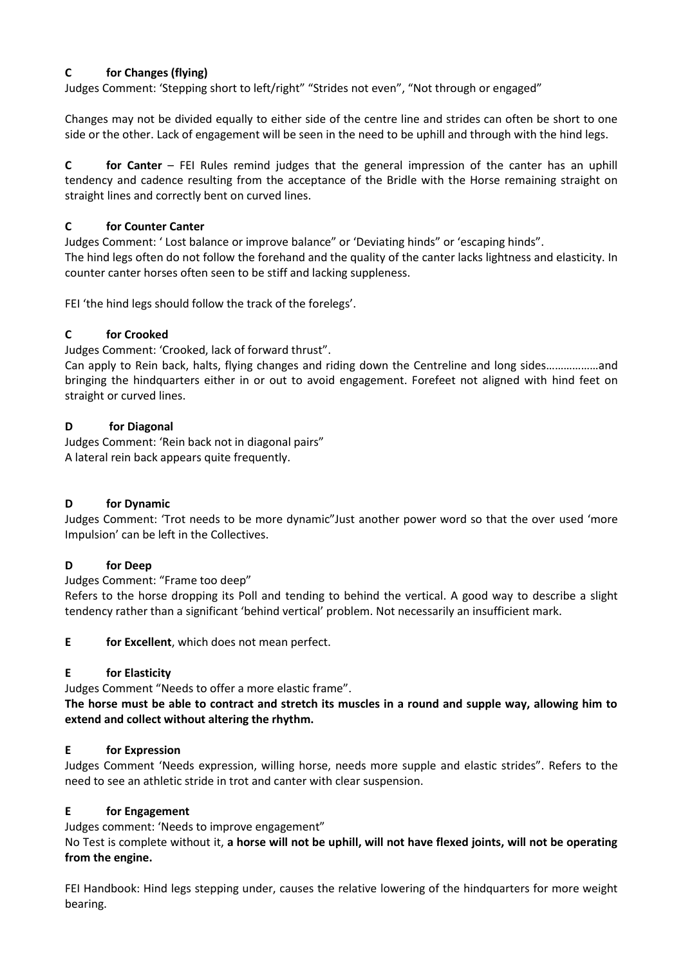### **C for Changes (flying)**

Judges Comment: 'Stepping short to left/right" "Strides not even", "Not through or engaged"

Changes may not be divided equally to either side of the centre line and strides can often be short to one side or the other. Lack of engagement will be seen in the need to be uphill and through with the hind legs.

**C for Canter** – FEI Rules remind judges that the general impression of the canter has an uphill tendency and cadence resulting from the acceptance of the Bridle with the Horse remaining straight on straight lines and correctly bent on curved lines.

### **C for Counter Canter**

Judges Comment: 'Lost balance or improve balance" or 'Deviating hinds" or 'escaping hinds". The hind legs often do not follow the forehand and the quality of the canter lacks lightness and elasticity. In counter canter horses often seen to be stiff and lacking suppleness.

FEI 'the hind legs should follow the track of the forelegs'.

# **C for Crooked**

Judges Comment: 'Crooked, lack of forward thrust".

Can apply to Rein back, halts, flying changes and riding down the Centreline and long sides………………and bringing the hindquarters either in or out to avoid engagement. Forefeet not aligned with hind feet on straight or curved lines.

### **D for Diagonal**

Judges Comment: 'Rein back not in diagonal pairs" A lateral rein back appears quite frequently.

### **D for Dynamic**

Judges Comment: 'Trot needs to be more dynamic"Just another power word so that the over used 'more Impulsion' can be left in the Collectives.

### **D for Deep**

Judges Comment: "Frame too deep"

Refers to the horse dropping its Poll and tending to behind the vertical. A good way to describe a slight tendency rather than a significant 'behind vertical' problem. Not necessarily an insufficient mark.

**E for Excellent**, which does not mean perfect.

### **E for Elasticity**

Judges Comment "Needs to offer a more elastic frame".

**The horse must be able to contract and stretch its muscles in a round and supple way, allowing him to extend and collect without altering the rhythm.** 

### **E for Expression**

Judges Comment 'Needs expression, willing horse, needs more supple and elastic strides". Refers to the need to see an athletic stride in trot and canter with clear suspension.

### **E for Engagement**

Judges comment: 'Needs to improve engagement"

No Test is complete without it, **a horse will not be uphill, will not have flexed joints, will not be operating from the engine.**

FEI Handbook: Hind legs stepping under, causes the relative lowering of the hindquarters for more weight bearing.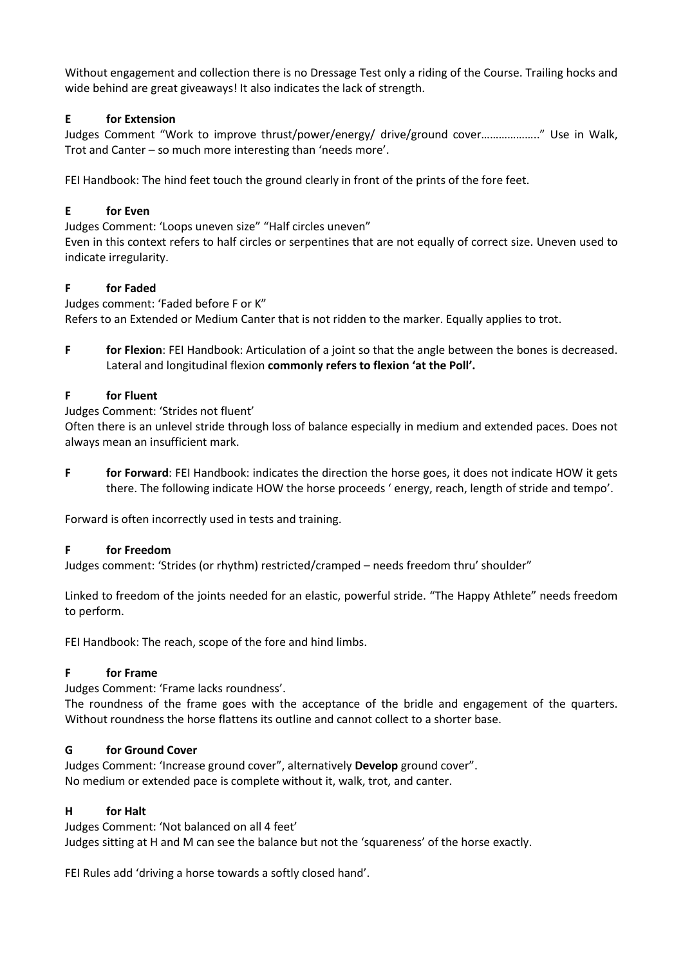Without engagement and collection there is no Dressage Test only a riding of the Course. Trailing hocks and wide behind are great giveaways! It also indicates the lack of strength.

### **E for Extension**

Judges Comment "Work to improve thrust/power/energy/ drive/ground cover……………….." Use in Walk, Trot and Canter – so much more interesting than 'needs more'.

FEI Handbook: The hind feet touch the ground clearly in front of the prints of the fore feet.

# **E for Even**

Judges Comment: 'Loops uneven size" "Half circles uneven"

Even in this context refers to half circles or serpentines that are not equally of correct size. Uneven used to indicate irregularity.

### **F for Faded**

Judges comment: 'Faded before F or K" Refers to an Extended or Medium Canter that is not ridden to the marker. Equally applies to trot.

**F for Flexion**: FEI Handbook: Articulation of a joint so that the angle between the bones is decreased. Lateral and longitudinal flexion **commonly refers to flexion 'at the Poll'.**

### **F for Fluent**

Judges Comment: 'Strides not fluent'

Often there is an unlevel stride through loss of balance especially in medium and extended paces. Does not always mean an insufficient mark.

**F for Forward**: FEI Handbook: indicates the direction the horse goes, it does not indicate HOW it gets there. The following indicate HOW the horse proceeds ' energy, reach, length of stride and tempo'.

Forward is often incorrectly used in tests and training.

### **F for Freedom**

Judges comment: 'Strides (or rhythm) restricted/cramped – needs freedom thru' shoulder"

Linked to freedom of the joints needed for an elastic, powerful stride. "The Happy Athlete" needs freedom to perform.

FEI Handbook: The reach, scope of the fore and hind limbs.

### **F for Frame**

Judges Comment: 'Frame lacks roundness'.

The roundness of the frame goes with the acceptance of the bridle and engagement of the quarters. Without roundness the horse flattens its outline and cannot collect to a shorter base.

### **G for Ground Cover**

Judges Comment: 'Increase ground cover", alternatively **Develop** ground cover". No medium or extended pace is complete without it, walk, trot, and canter.

### **H for Halt**

Judges Comment: 'Not balanced on all 4 feet' Judges sitting at H and M can see the balance but not the 'squareness' of the horse exactly.

FEI Rules add 'driving a horse towards a softly closed hand'.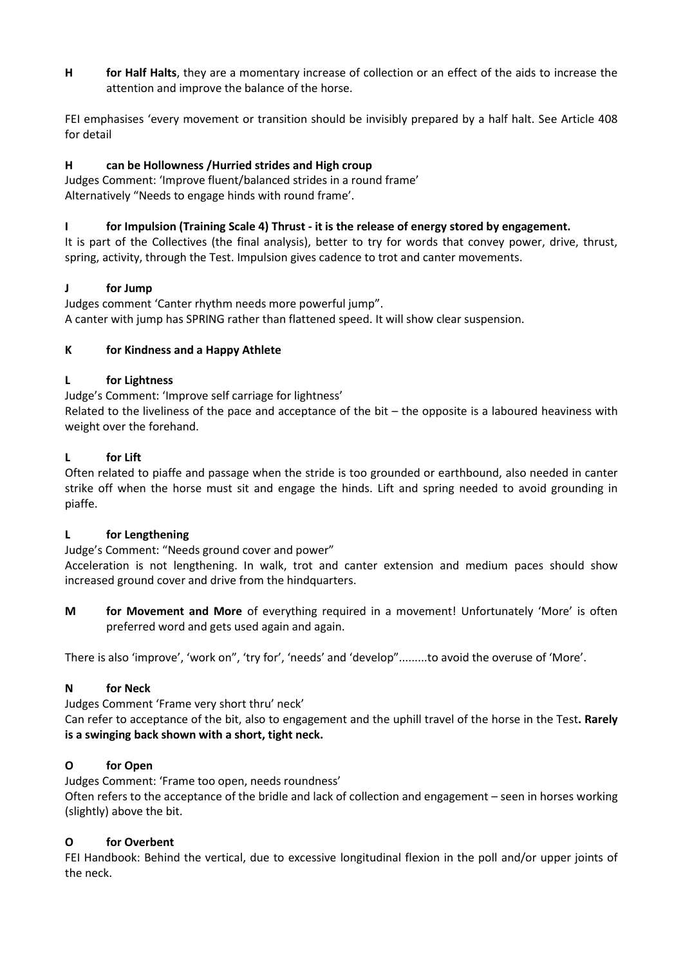**H for Half Halts**, they are a momentary increase of collection or an effect of the aids to increase the attention and improve the balance of the horse.

FEI emphasises 'every movement or transition should be invisibly prepared by a half halt. See Article 408 for detail

### **H can be Hollowness /Hurried strides and High croup**

Judges Comment: 'Improve fluent/balanced strides in a round frame' Alternatively "Needs to engage hinds with round frame'.

### **I for Impulsion (Training Scale 4) Thrust - it is the release of energy stored by engagement.**

It is part of the Collectives (the final analysis), better to try for words that convey power, drive, thrust, spring, activity, through the Test. Impulsion gives cadence to trot and canter movements.

### **J for Jump**

Judges comment 'Canter rhythm needs more powerful jump". A canter with jump has SPRING rather than flattened speed. It will show clear suspension.

### **K for Kindness and a Happy Athlete**

### **L for Lightness**

Judge's Comment: 'Improve self carriage for lightness'

Related to the liveliness of the pace and acceptance of the bit – the opposite is a laboured heaviness with weight over the forehand.

### **L for Lift**

Often related to piaffe and passage when the stride is too grounded or earthbound, also needed in canter strike off when the horse must sit and engage the hinds. Lift and spring needed to avoid grounding in piaffe.

### **L for Lengthening**

Judge's Comment: "Needs ground cover and power"

Acceleration is not lengthening. In walk, trot and canter extension and medium paces should show increased ground cover and drive from the hindquarters.

**M for Movement and More** of everything required in a movement! Unfortunately 'More' is often preferred word and gets used again and again.

There is also 'improve', 'work on", 'try for', 'needs' and 'develop".........to avoid the overuse of 'More'.

### **N for Neck**

Judges Comment 'Frame very short thru' neck'

Can refer to acceptance of the bit, also to engagement and the uphill travel of the horse in the Test**. Rarely is a swinging back shown with a short, tight neck.**

### **O for Open**

Judges Comment: 'Frame too open, needs roundness' Often refers to the acceptance of the bridle and lack of collection and engagement – seen in horses working (slightly) above the bit.

### **O for Overbent**

FEI Handbook: Behind the vertical, due to excessive longitudinal flexion in the poll and/or upper joints of the neck.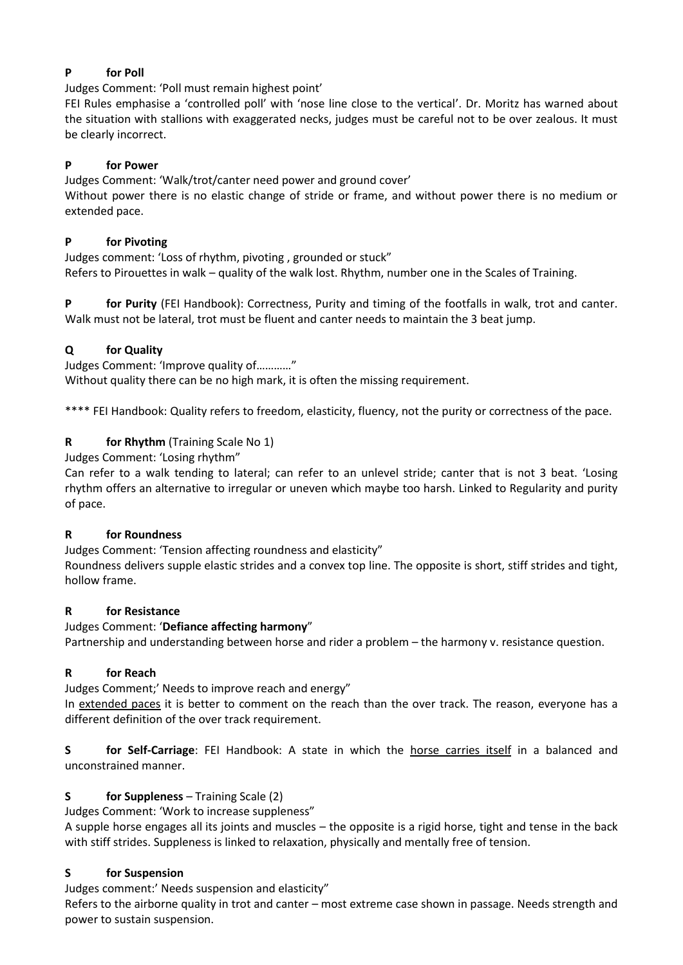# **P for Poll**

Judges Comment: 'Poll must remain highest point'

FEI Rules emphasise a 'controlled poll' with 'nose line close to the vertical'. Dr. Moritz has warned about the situation with stallions with exaggerated necks, judges must be careful not to be over zealous. It must be clearly incorrect.

### **P for Power**

Judges Comment: 'Walk/trot/canter need power and ground cover' Without power there is no elastic change of stride or frame, and without power there is no medium or extended pace.

# **P for Pivoting**

Judges comment: 'Loss of rhythm, pivoting , grounded or stuck" Refers to Pirouettes in walk – quality of the walk lost. Rhythm, number one in the Scales of Training.

**P for Purity** (FEI Handbook): Correctness, Purity and timing of the footfalls in walk, trot and canter. Walk must not be lateral, trot must be fluent and canter needs to maintain the 3 beat jump.

# **Q for Quality**

Judges Comment: 'Improve quality of…………" Without quality there can be no high mark, it is often the missing requirement.

\*\*\*\* FEI Handbook: Quality refers to freedom, elasticity, fluency, not the purity or correctness of the pace.

# **R for Rhythm** (Training Scale No 1)

Judges Comment: 'Losing rhythm"

Can refer to a walk tending to lateral; can refer to an unlevel stride; canter that is not 3 beat. 'Losing rhythm offers an alternative to irregular or uneven which maybe too harsh. Linked to Regularity and purity of pace.

### **R for Roundness**

Judges Comment: 'Tension affecting roundness and elasticity"

Roundness delivers supple elastic strides and a convex top line. The opposite is short, stiff strides and tight, hollow frame.

### **R for Resistance**

### Judges Comment: '**Defiance affecting harmony**"

Partnership and understanding between horse and rider a problem – the harmony v. resistance question.

### **R for Reach**

Judges Comment;' Needs to improve reach and energy"

In extended paces it is better to comment on the reach than the over track. The reason, everyone has a different definition of the over track requirement.

**S for Self-Carriage**: FEI Handbook: A state in which the horse carries itself in a balanced and unconstrained manner.

### **S for Suppleness** – Training Scale (2)

Judges Comment: 'Work to increase suppleness"

A supple horse engages all its joints and muscles – the opposite is a rigid horse, tight and tense in the back with stiff strides. Suppleness is linked to relaxation, physically and mentally free of tension.

### **S for Suspension**

Judges comment:' Needs suspension and elasticity"

Refers to the airborne quality in trot and canter – most extreme case shown in passage. Needs strength and power to sustain suspension.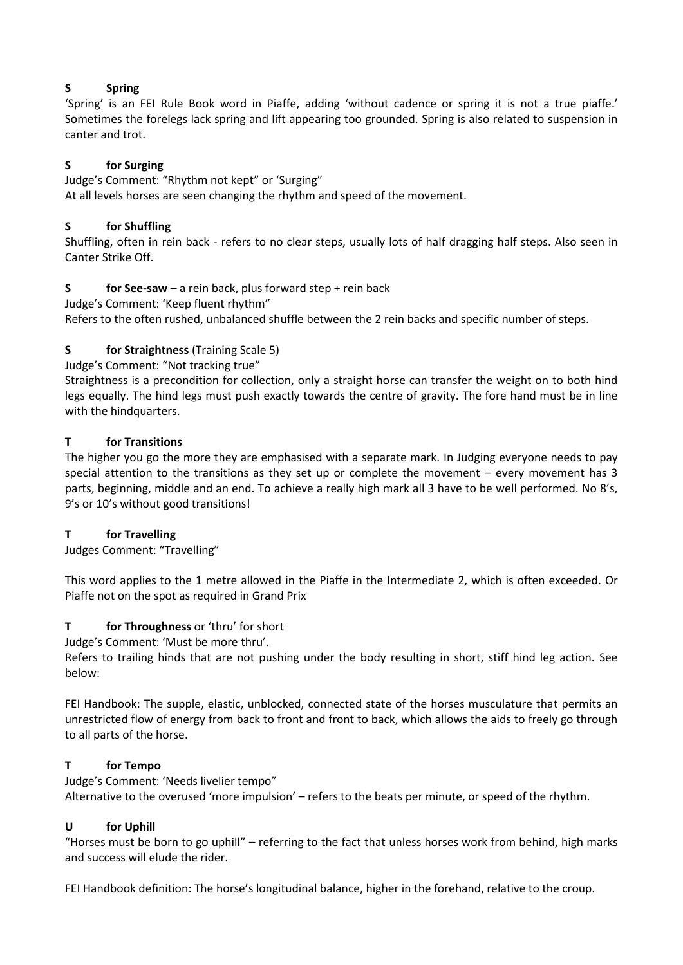## **S Spring**

'Spring' is an FEI Rule Book word in Piaffe, adding 'without cadence or spring it is not a true piaffe.' Sometimes the forelegs lack spring and lift appearing too grounded. Spring is also related to suspension in canter and trot.

# **S for Surging**

Judge's Comment: "Rhythm not kept" or 'Surging" At all levels horses are seen changing the rhythm and speed of the movement.

### **S for Shuffling**

Shuffling, often in rein back - refers to no clear steps, usually lots of half dragging half steps. Also seen in Canter Strike Off.

# **S for See-saw** – a rein back, plus forward step + rein back

Judge's Comment: 'Keep fluent rhythm"

Refers to the often rushed, unbalanced shuffle between the 2 rein backs and specific number of steps.

# **S for Straightness** (Training Scale 5)

Judge's Comment: "Not tracking true"

Straightness is a precondition for collection, only a straight horse can transfer the weight on to both hind legs equally. The hind legs must push exactly towards the centre of gravity. The fore hand must be in line with the hindquarters.

### **T for Transitions**

The higher you go the more they are emphasised with a separate mark. In Judging everyone needs to pay special attention to the transitions as they set up or complete the movement – every movement has 3 parts, beginning, middle and an end. To achieve a really high mark all 3 have to be well performed. No 8's, 9's or 10's without good transitions!

### **T for Travelling**

Judges Comment: "Travelling"

This word applies to the 1 metre allowed in the Piaffe in the Intermediate 2, which is often exceeded. Or Piaffe not on the spot as required in Grand Prix

### **T for Throughness** or 'thru' for short

Judge's Comment: 'Must be more thru'.

Refers to trailing hinds that are not pushing under the body resulting in short, stiff hind leg action. See below:

FEI Handbook: The supple, elastic, unblocked, connected state of the horses musculature that permits an unrestricted flow of energy from back to front and front to back, which allows the aids to freely go through to all parts of the horse.

### **T for Tempo**

Judge's Comment: 'Needs livelier tempo"

Alternative to the overused 'more impulsion' – refers to the beats per minute, or speed of the rhythm.

### **U for Uphill**

"Horses must be born to go uphill" – referring to the fact that unless horses work from behind, high marks and success will elude the rider.

FEI Handbook definition: The horse's longitudinal balance, higher in the forehand, relative to the croup.